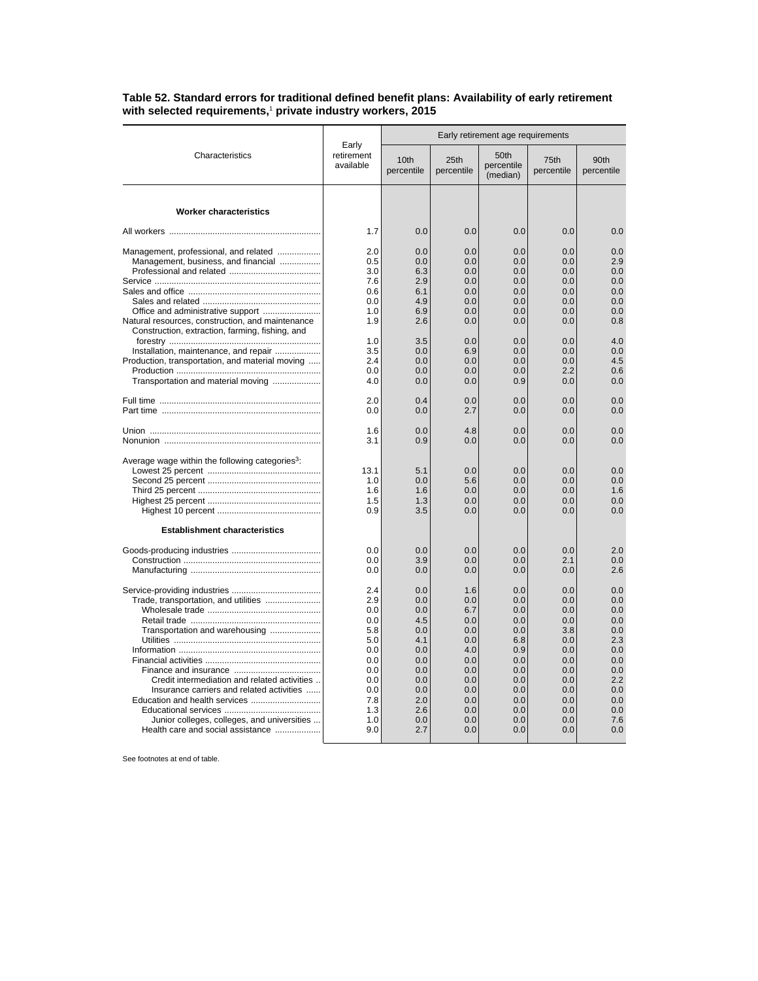| Characteristics                                                                                                                                                                                                                                         | Early<br>retirement<br>available                                                                      | Early retirement age requirements                                                                     |                                                                                                       |                                                                                                       |                                                                                                       |                                                                                                       |
|---------------------------------------------------------------------------------------------------------------------------------------------------------------------------------------------------------------------------------------------------------|-------------------------------------------------------------------------------------------------------|-------------------------------------------------------------------------------------------------------|-------------------------------------------------------------------------------------------------------|-------------------------------------------------------------------------------------------------------|-------------------------------------------------------------------------------------------------------|-------------------------------------------------------------------------------------------------------|
|                                                                                                                                                                                                                                                         |                                                                                                       | 10 <sub>th</sub><br>percentile                                                                        | 25th<br>percentile                                                                                    | 50th<br>percentile<br>(median)                                                                        | 75th<br>percentile                                                                                    | 90th<br>percentile                                                                                    |
| <b>Worker characteristics</b>                                                                                                                                                                                                                           |                                                                                                       |                                                                                                       |                                                                                                       |                                                                                                       |                                                                                                       |                                                                                                       |
|                                                                                                                                                                                                                                                         |                                                                                                       |                                                                                                       |                                                                                                       |                                                                                                       |                                                                                                       |                                                                                                       |
|                                                                                                                                                                                                                                                         | 1.7                                                                                                   | 0.0                                                                                                   | 0.0                                                                                                   | 0.0                                                                                                   | 0.0                                                                                                   | 0.0                                                                                                   |
| Management, professional, and related<br>Management, business, and financial                                                                                                                                                                            | 2.0<br>0.5<br>3.0<br>7.6<br>0.6                                                                       | 0.0<br>0.0<br>6.3<br>2.9<br>6.1                                                                       | 0.0<br>0.0<br>0.0<br>0.0<br>0.0                                                                       | 0.0<br>0.0<br>0.0<br>0.0<br>0.0                                                                       | 0.0<br>0.0<br>0.0<br>0.0<br>0.0                                                                       | 0.0<br>2.9<br>0.0<br>0.0<br>0.0                                                                       |
|                                                                                                                                                                                                                                                         | 0.0                                                                                                   | 4.9                                                                                                   | 0.0                                                                                                   | 0.0                                                                                                   | 0.0                                                                                                   | 0.0                                                                                                   |
| Office and administrative support<br>Natural resources, construction, and maintenance<br>Construction, extraction, farming, fishing, and                                                                                                                | 1.0<br>1.9                                                                                            | 6.9<br>2.6                                                                                            | 0.0<br>0.0                                                                                            | 0.0<br>0.0                                                                                            | 0.0<br>0.0                                                                                            | 0.0<br>0.8                                                                                            |
|                                                                                                                                                                                                                                                         | 1.0<br>3.5                                                                                            | 3.5<br>0.0                                                                                            | 0.0<br>6.9                                                                                            | 0.0<br>0.0                                                                                            | 0.0<br>0.0                                                                                            | 4.0<br>0.0                                                                                            |
| Installation, maintenance, and repair<br>Production, transportation, and material moving                                                                                                                                                                | 2.4                                                                                                   | 0.0                                                                                                   | 0.0                                                                                                   | 0.0                                                                                                   | 0.0                                                                                                   | 4.5                                                                                                   |
|                                                                                                                                                                                                                                                         | 0.0                                                                                                   | 0.0                                                                                                   | 0.0                                                                                                   | 0.0                                                                                                   | 2.2                                                                                                   | 0.6                                                                                                   |
| Transportation and material moving                                                                                                                                                                                                                      | 4.0                                                                                                   | 0.0                                                                                                   | 0.0                                                                                                   | 0.9                                                                                                   | 0.0                                                                                                   | 0.0                                                                                                   |
|                                                                                                                                                                                                                                                         | 2.0<br>0.0                                                                                            | 0.4<br>0.0                                                                                            | 0.0<br>2.7                                                                                            | 0.0<br>0.0                                                                                            | 0.0<br>0.0                                                                                            | 0.0<br>0.0                                                                                            |
|                                                                                                                                                                                                                                                         | 1.6<br>3.1                                                                                            | 0.0<br>0.9                                                                                            | 4.8<br>0.0                                                                                            | 0.0<br>0.0                                                                                            | 0.0<br>0.0                                                                                            | 0.0<br>0.0                                                                                            |
| Average wage within the following categories <sup>3</sup> :                                                                                                                                                                                             | 13.1<br>1.0<br>1.6<br>1.5<br>0.9                                                                      | 5.1<br>0.0<br>1.6<br>1.3<br>3.5                                                                       | 0.0<br>5.6<br>0.0<br>0.0<br>0.0                                                                       | 0.0<br>0.0<br>0.0<br>0.0<br>0.0                                                                       | 0.0<br>0.0<br>0.0<br>0.0<br>0.0                                                                       | 0.0<br>0.0<br>1.6<br>0.0<br>0.0                                                                       |
| <b>Establishment characteristics</b>                                                                                                                                                                                                                    |                                                                                                       |                                                                                                       |                                                                                                       |                                                                                                       |                                                                                                       |                                                                                                       |
|                                                                                                                                                                                                                                                         | 0.0<br>0.0<br>0.0                                                                                     | 0.0<br>3.9<br>0.0                                                                                     | 0.0<br>0.0<br>0.0                                                                                     | 0.0<br>0.0<br>0.0                                                                                     | 0.0<br>2.1<br>0.0                                                                                     | 2.0<br>0.0<br>2.6                                                                                     |
| Trade, transportation, and utilities<br>Transportation and warehousing<br>Credit intermediation and related activities<br>Insurance carriers and related activities<br>Junior colleges, colleges, and universities<br>Health care and social assistance | 2.4<br>2.9<br>0.0<br>0.0<br>5.8<br>5.0<br>0.0<br>0.0<br>0.0<br>0.0<br>0.0<br>7.8<br>1.3<br>1.0<br>9.0 | 0.0<br>0.0<br>0.0<br>4.5<br>0.0<br>4.1<br>0.0<br>0.0<br>0.0<br>0.0<br>0.0<br>2.0<br>2.6<br>0.0<br>2.7 | 1.6<br>0.0<br>6.7<br>0.0<br>0.0<br>0.0<br>4.0<br>0.0<br>0.0<br>0.0<br>0.0<br>0.0<br>0.0<br>0.0<br>0.0 | 0.0<br>0.0<br>0.0<br>0.0<br>0.0<br>6.8<br>0.9<br>0.0<br>0.0<br>0.0<br>0.0<br>0.0<br>0.0<br>0.0<br>0.0 | 0.0<br>0.0<br>0.0<br>0.0<br>3.8<br>0.0<br>0.0<br>0.0<br>0.0<br>0.0<br>0.0<br>0.0<br>0.0<br>0.0<br>0.0 | 0.0<br>0.0<br>0.0<br>0.0<br>0.0<br>2.3<br>0.0<br>0.0<br>0.0<br>2.2<br>0.0<br>0.0<br>0.0<br>7.6<br>0.0 |

**Table 52. Standard errors for traditional defined benefit plans: Availability of early retirement with selected requirements,**<sup>1</sup>  **private industry workers, 2015**

See footnotes at end of table.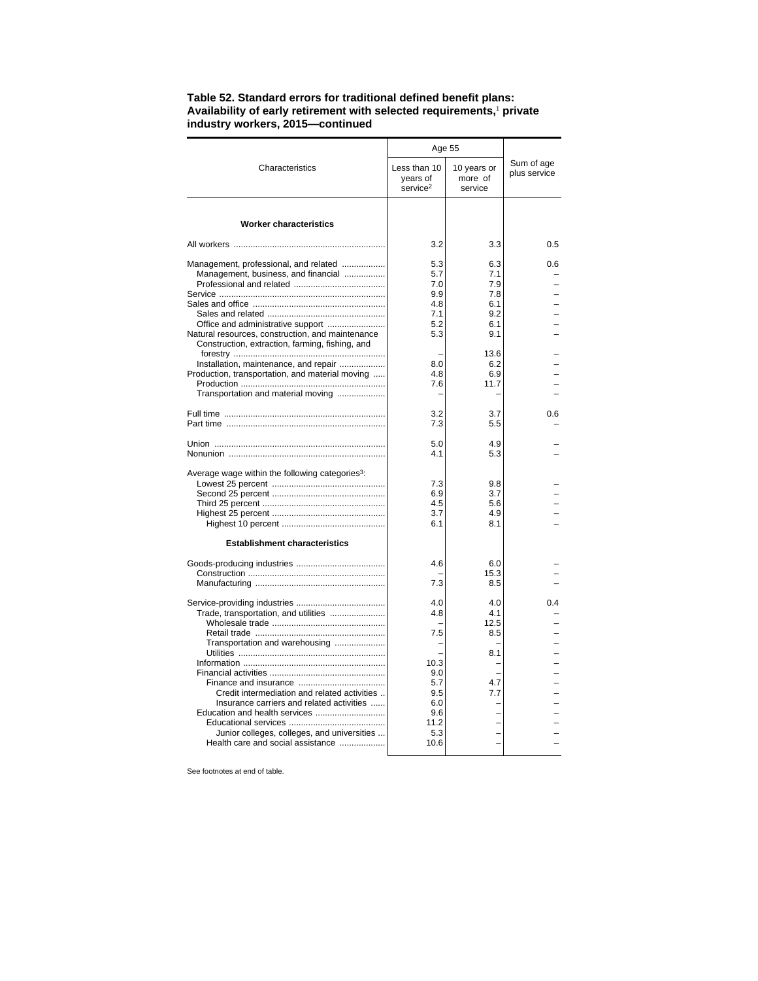|                                                             | Age 55                                           |                                   |                            |  |
|-------------------------------------------------------------|--------------------------------------------------|-----------------------------------|----------------------------|--|
| Characteristics                                             | Less than 10<br>years of<br>service <sup>2</sup> | 10 years or<br>more of<br>service | Sum of age<br>plus service |  |
| <b>Worker characteristics</b>                               |                                                  |                                   |                            |  |
|                                                             |                                                  |                                   |                            |  |
|                                                             | 3.2                                              | 3.3                               | 0.5                        |  |
| Management, professional, and related                       | 5.3                                              | 6.3                               | 0.6                        |  |
| Management, business, and financial                         | 5.7                                              | 7.1                               |                            |  |
|                                                             | 7.0                                              | 7.9                               |                            |  |
|                                                             | 9.9<br>4.8                                       | 7.8                               |                            |  |
|                                                             | 7.1                                              | 6.1<br>9.2                        |                            |  |
|                                                             | 5.2                                              | 6.1                               |                            |  |
| Natural resources, construction, and maintenance            | 5.3                                              | 9.1                               |                            |  |
| Construction, extraction, farming, fishing, and             |                                                  |                                   |                            |  |
|                                                             |                                                  | 13.6                              |                            |  |
| Installation, maintenance, and repair                       | 8.0                                              | 6.2                               |                            |  |
| Production, transportation, and material moving             | 4.8                                              | 6.9                               |                            |  |
|                                                             | 7.6                                              | 11.7                              |                            |  |
| Transportation and material moving                          |                                                  |                                   |                            |  |
|                                                             | 3.2                                              | 3.7                               | 0.6                        |  |
|                                                             | 7.3                                              | 5.5                               |                            |  |
|                                                             |                                                  |                                   |                            |  |
|                                                             | 5.0                                              | 4.9                               |                            |  |
|                                                             | 4.1                                              | 5.3                               |                            |  |
| Average wage within the following categories <sup>3</sup> : |                                                  |                                   |                            |  |
|                                                             | 7.3                                              | 9.8                               |                            |  |
|                                                             | 6.9                                              | 3.7                               |                            |  |
|                                                             | 4.5                                              | 5.6                               |                            |  |
|                                                             | 3.7                                              | 4.9                               |                            |  |
|                                                             | 6.1                                              | 8.1                               |                            |  |
| <b>Establishment characteristics</b>                        |                                                  |                                   |                            |  |
|                                                             |                                                  |                                   |                            |  |
|                                                             | 4.6                                              | 6.0                               |                            |  |
|                                                             |                                                  | 15.3                              |                            |  |
|                                                             | 7.3                                              | 8.5                               |                            |  |
|                                                             | 4.0                                              | 4.0                               | 04                         |  |
| Trade, transportation, and utilities                        | 4.8                                              | 4.1                               |                            |  |
|                                                             |                                                  | 12.5                              |                            |  |
|                                                             | 7.5                                              | 8.5                               |                            |  |
| Transportation and warehousing                              |                                                  |                                   |                            |  |
|                                                             |                                                  | 8.1                               |                            |  |
|                                                             | 10.3                                             |                                   |                            |  |
|                                                             | 9.0<br>5.7                                       | 4.7                               |                            |  |
| Credit intermediation and related activities                | 9.5                                              | 7.7                               |                            |  |
| Insurance carriers and related activities                   | 6.0                                              |                                   |                            |  |
|                                                             | 9.6                                              |                                   |                            |  |
|                                                             | 11.2                                             |                                   |                            |  |
| Junior colleges, colleges, and universities                 | 5.3                                              |                                   |                            |  |
| Health care and social assistance                           | 10.6                                             |                                   |                            |  |
|                                                             |                                                  |                                   |                            |  |

## **Table 52. Standard errors for traditional defined benefit plans: Availability of early retirement with selected requirements,**<sup>1</sup>  **private industry workers, 2015—continued**

See footnotes at end of table.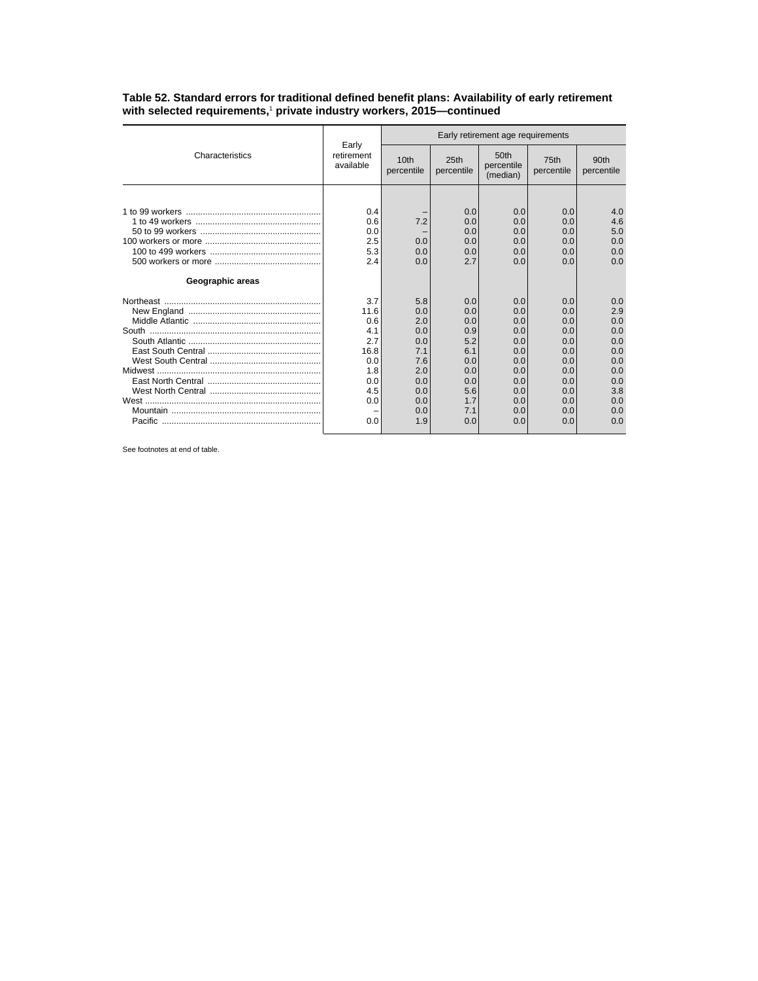|                  | Early<br>retirement<br>available | Early retirement age requirements |                                |                                            |                    |                                |
|------------------|----------------------------------|-----------------------------------|--------------------------------|--------------------------------------------|--------------------|--------------------------------|
| Characteristics  |                                  | 10 <sub>th</sub><br>percentile    | 25 <sub>th</sub><br>percentile | 50 <sub>th</sub><br>percentile<br>(median) | 75th<br>percentile | 90 <sub>th</sub><br>percentile |
|                  |                                  |                                   |                                |                                            |                    |                                |
|                  | 0.4                              |                                   | 0.0                            | 0.0                                        | 0.0                | 4.0                            |
|                  | 0.6                              | 7.2                               | 0.0                            | 0.0                                        | 0.0                | 4.6                            |
|                  | 0.0                              |                                   | 0.0                            | 0.0                                        | 0.0                | 5.0                            |
|                  | 2.5                              | 0.0                               | 0.0                            | 0.0                                        | 0.0                | 0.0                            |
|                  | 5.3                              | 0.0                               | 0.0                            | 0.0                                        | 0.0                | 0.0                            |
|                  | 2.4                              | 0.0                               | 2.7                            | 0.0                                        | 0.0                | 0.0                            |
| Geographic areas |                                  |                                   |                                |                                            |                    |                                |
|                  | 3.7                              | 5.8                               | 0.0                            | 0.0                                        | 0.0                | 0.0                            |
|                  | 11.6                             | 0.0                               | 0.0                            | 0.0                                        | 0.0                | 2.9                            |
|                  | 0.6                              | 2.0                               | 0.0                            | 0.0                                        | 0.0                | 0.0                            |
|                  | 4.1                              | 0.0                               | 0.9                            | 0.0                                        | 0.0                | 0.0                            |
|                  | 2.7                              | 0.0                               | 5.2                            | 0.0                                        | 0.0                | 0.0                            |
|                  | 16.8                             | 7.1                               | 6.1                            | 0.0                                        | 0.0                | 0.0                            |
|                  | 0.0                              | 7.6                               | 0.0                            | 0.0                                        | 0.0                | 0.0                            |
|                  | 1.8                              | 2.0                               | 0.0                            | 0.0                                        | 0.0                | 0.0                            |
|                  | 0.0                              | 0.0                               | 0.0                            | 0.0                                        | 0.0                | 0.0                            |
|                  | 4.5                              | 0.0                               | 5.6                            | 0.0                                        | 0.0                | 3.8                            |
|                  | 0.0                              | 0.0                               | 1.7<br>7.1                     | 0.0                                        | 0.0                | 0.0<br>0.0                     |
|                  | 0.0                              | 0.0<br>1.9                        | 0.0                            | 0.0<br>0.0                                 | 0.0<br>0.0         | 0.0                            |
|                  |                                  |                                   |                                |                                            |                    |                                |

**Table 52. Standard errors for traditional defined benefit plans: Availability of early retirement with selected requirements,**<sup>1</sup>  **private industry workers, 2015—continued**

See footnotes at end of table.